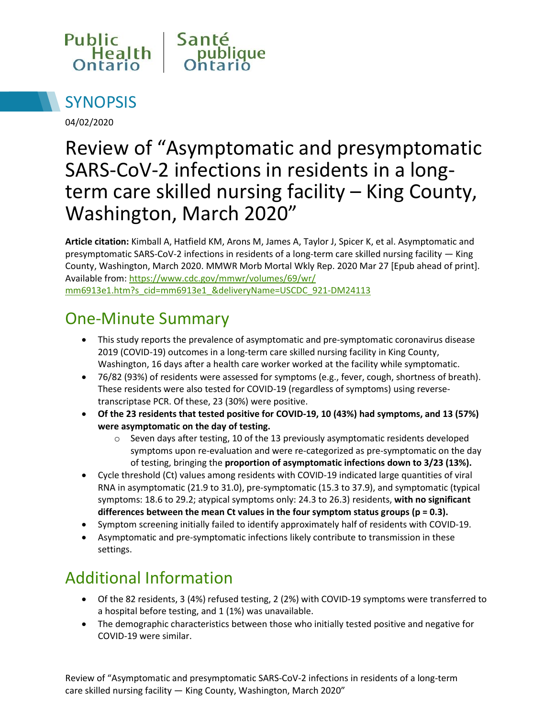



04/02/2020

# Review of "Asymptomatic and presymptomatic SARS-CoV-2 infections in residents in a longterm care skilled nursing facility – King County, Washington, March 2020"

**Article citation:** Kimball A, Hatfield KM, Arons M, James A, Taylor J, Spicer K, et al. Asymptomatic and presymptomatic SARS-CoV-2 infections in residents of a long-term care skilled nursing facility — King County, Washington, March 2020. MMWR Morb Mortal Wkly Rep. 2020 Mar 27 [Epub ahead of print]. Available from[: https://www.cdc.gov/mmwr/volumes/69/wr/](https://www.cdc.gov/mmwr/volumes/69/wr/mm6913e1.htm?s_cid=mm6913e1_&deliveryName=USCDC_921-DM24113) [mm6913e1.htm?s\\_cid=mm6913e1\\_&deliveryName=USCDC\\_921-DM24113](https://www.cdc.gov/mmwr/volumes/69/wr/mm6913e1.htm?s_cid=mm6913e1_&deliveryName=USCDC_921-DM24113)

### One-Minute Summary

- This study reports the prevalence of asymptomatic and pre-symptomatic coronavirus disease 2019 (COVID-19) outcomes in a long-term care skilled nursing facility in King County, Washington, 16 days after a health care worker worked at the facility while symptomatic.
- 76/82 (93%) of residents were assessed for symptoms (e.g., fever, cough, shortness of breath). These residents were also tested for COVID-19 (regardless of symptoms) using reversetranscriptase PCR. Of these, 23 (30%) were positive.
- **Of the 23 residents that tested positive for COVID-19, 10 (43%) had symptoms, and 13 (57%) were asymptomatic on the day of testing.** 
	- o Seven days after testing, 10 of the 13 previously asymptomatic residents developed symptoms upon re-evaluation and were re-categorized as pre-symptomatic on the day of testing, bringing the **proportion of asymptomatic infections down to 3/23 (13%).**
- Cycle threshold (Ct) values among residents with COVID-19 indicated large quantities of viral RNA in asymptomatic (21.9 to 31.0), pre-symptomatic (15.3 to 37.9), and symptomatic (typical symptoms: 18.6 to 29.2; atypical symptoms only: 24.3 to 26.3) residents, **with no significant differences between the mean Ct values in the four symptom status groups (p = 0.3).**
- Symptom screening initially failed to identify approximately half of residents with COVID-19.
- Asymptomatic and pre-symptomatic infections likely contribute to transmission in these settings.

## Additional Information

- Of the 82 residents, 3 (4%) refused testing, 2 (2%) with COVID-19 symptoms were transferred to a hospital before testing, and 1 (1%) was unavailable.
- The demographic characteristics between those who initially tested positive and negative for COVID-19 were similar.

Review of "Asymptomatic and presymptomatic SARS-CoV-2 infections in residents of a long-term care skilled nursing facility — King County, Washington, March 2020"